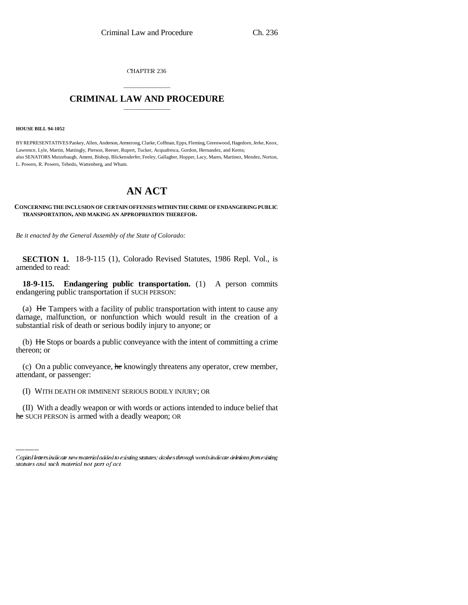CHAPTER 236

## \_\_\_\_\_\_\_\_\_\_\_\_\_\_\_ **CRIMINAL LAW AND PROCEDURE** \_\_\_\_\_\_\_\_\_\_\_\_\_\_\_

**HOUSE BILL 94-1052**

BY REPRESENTATIVES Pankey, Allen, Anderson, Armstrong, Clarke, Coffman, Epps, Fleming, Greenwood, Hagedorn, Jerke, Knox, Lawrence, Lyle, Martin, Mattingly, Pierson, Reeser, Rupert, Tucker, Acquafresca, Gordon, Hernandez, and Kerns; also SENATORS Mutzebaugh, Ament, Bishop, Blickensderfer, Feeley, Gallagher, Hopper, Lacy, Mares, Martinez, Mendez, Norton, L. Powers, R. Powers, Tebedo, Wattenberg, and Wham.

## **AN ACT**

## **CONCERNING THE INCLUSION OF CERTAIN OFFENSES WITHIN THE CRIME OF ENDANGERING PUBLIC TRANSPORTATION, AND MAKING AN APPROPRIATION THEREFOR.**

*Be it enacted by the General Assembly of the State of Colorado:*

**SECTION 1.** 18-9-115 (1), Colorado Revised Statutes, 1986 Repl. Vol., is amended to read:

**18-9-115. Endangering public transportation.** (1) A person commits endangering public transportation if SUCH PERSON:

(a) He Tampers with a facility of public transportation with intent to cause any damage, malfunction, or nonfunction which would result in the creation of a substantial risk of death or serious bodily injury to anyone; or

(b) He Stops or boards a public conveyance with the intent of committing a crime thereon; or

(c) On a public conveyance, he knowingly threatens any operator, crew member, attendant, or passenger:

(I) WITH DEATH OR IMMINENT SERIOUS BODILY INJURY; OR

(II) With a deadly weapon or with words or actions intended to induce belief that he SUCH PERSON is armed with a deadly weapon; OR

Capital letters indicate new material added to existing statutes; dashes through words indicate deletions from existing statutes and such material not part of act.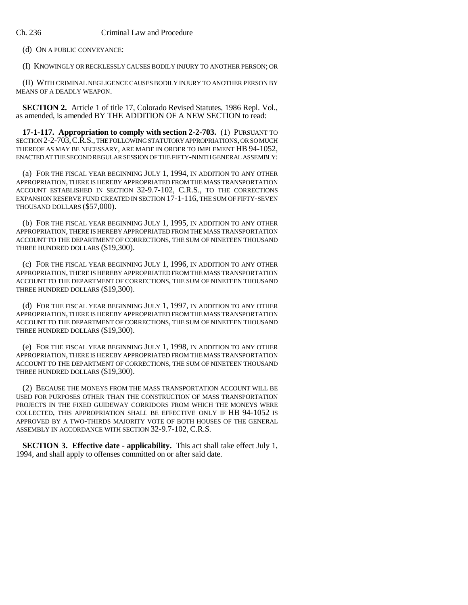(d) ON A PUBLIC CONVEYANCE:

(I) KNOWINGLY OR RECKLESSLY CAUSES BODILY INJURY TO ANOTHER PERSON; OR

(II) WITH CRIMINAL NEGLIGENCE CAUSES BODILY INJURY TO ANOTHER PERSON BY MEANS OF A DEADLY WEAPON.

**SECTION 2.** Article 1 of title 17, Colorado Revised Statutes, 1986 Repl. Vol., as amended, is amended BY THE ADDITION OF A NEW SECTION to read:

**17-1-117. Appropriation to comply with section 2-2-703.** (1) PURSUANT TO SECTION 2-2-703,C.R.S., THE FOLLOWING STATUTORY APPROPRIATIONS, OR SO MUCH THEREOF AS MAY BE NECESSARY, ARE MADE IN ORDER TO IMPLEMENT HB 94-1052, ENACTED AT THE SECOND REGULAR SESSION OF THE FIFTY-NINTH GENERAL ASSEMBLY:

(a) FOR THE FISCAL YEAR BEGINNING JULY 1, 1994, IN ADDITION TO ANY OTHER APPROPRIATION, THERE IS HEREBY APPROPRIATED FROM THE MASS TRANSPORTATION ACCOUNT ESTABLISHED IN SECTION 32-9.7-102, C.R.S., TO THE CORRECTIONS EXPANSION RESERVE FUND CREATED IN SECTION 17-1-116, THE SUM OF FIFTY-SEVEN THOUSAND DOLLARS (\$57,000).

(b) FOR THE FISCAL YEAR BEGINNING JULY 1, 1995, IN ADDITION TO ANY OTHER APPROPRIATION, THERE IS HEREBY APPROPRIATED FROM THE MASS TRANSPORTATION ACCOUNT TO THE DEPARTMENT OF CORRECTIONS, THE SUM OF NINETEEN THOUSAND THREE HUNDRED DOLLARS (\$19,300).

(c) FOR THE FISCAL YEAR BEGINNING JULY 1, 1996, IN ADDITION TO ANY OTHER APPROPRIATION, THERE IS HEREBY APPROPRIATED FROM THE MASS TRANSPORTATION ACCOUNT TO THE DEPARTMENT OF CORRECTIONS, THE SUM OF NINETEEN THOUSAND THREE HUNDRED DOLLARS (\$19,300).

(d) FOR THE FISCAL YEAR BEGINNING JULY 1, 1997, IN ADDITION TO ANY OTHER APPROPRIATION, THERE IS HEREBY APPROPRIATED FROM THE MASS TRANSPORTATION ACCOUNT TO THE DEPARTMENT OF CORRECTIONS, THE SUM OF NINETEEN THOUSAND THREE HUNDRED DOLLARS (\$19,300).

(e) FOR THE FISCAL YEAR BEGINNING JULY 1, 1998, IN ADDITION TO ANY OTHER APPROPRIATION, THERE IS HEREBY APPROPRIATED FROM THE MASS TRANSPORTATION ACCOUNT TO THE DEPARTMENT OF CORRECTIONS, THE SUM OF NINETEEN THOUSAND THREE HUNDRED DOLLARS (\$19,300).

(2) BECAUSE THE MONEYS FROM THE MASS TRANSPORTATION ACCOUNT WILL BE USED FOR PURPOSES OTHER THAN THE CONSTRUCTION OF MASS TRANSPORTATION PROJECTS IN THE FIXED GUIDEWAY CORRIDORS FROM WHICH THE MONEYS WERE COLLECTED, THIS APPROPRIATION SHALL BE EFFECTIVE ONLY IF HB 94-1052 IS APPROVED BY A TWO-THIRDS MAJORITY VOTE OF BOTH HOUSES OF THE GENERAL ASSEMBLY IN ACCORDANCE WITH SECTION 32-9.7-102, C.R.S.

**SECTION 3. Effective date - applicability.** This act shall take effect July 1, 1994, and shall apply to offenses committed on or after said date.